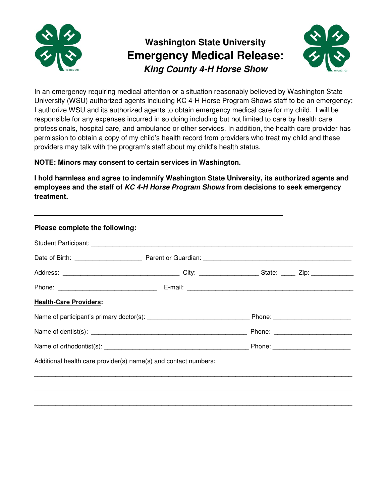

## **Washington State University Emergency Medical Release: King County 4-H Horse Show**



In an emergency requiring medical attention or a situation reasonably believed by Washington State University (WSU) authorized agents including KC 4-H Horse Program Shows staff to be an emergency; I authorize WSU and its authorized agents to obtain emergency medical care for my child. I will be responsible for any expenses incurred in so doing including but not limited to care by health care professionals, hospital care, and ambulance or other services. In addition, the health care provider has permission to obtain a copy of my child's health record from providers who treat my child and these providers may talk with the program's staff about my child's health status.

## **NOTE: Minors may consent to certain services in Washington.**

**I hold harmless and agree to indemnify Washington State University, its authorized agents and employees and the staff of KC 4-H Horse Program Shows from decisions to seek emergency treatment.**

| <b>Health-Care Providers:</b> |                                                                 |  |
|-------------------------------|-----------------------------------------------------------------|--|
|                               |                                                                 |  |
|                               |                                                                 |  |
|                               |                                                                 |  |
|                               | Additional health care provider(s) name(s) and contact numbers: |  |
|                               |                                                                 |  |
|                               |                                                                 |  |